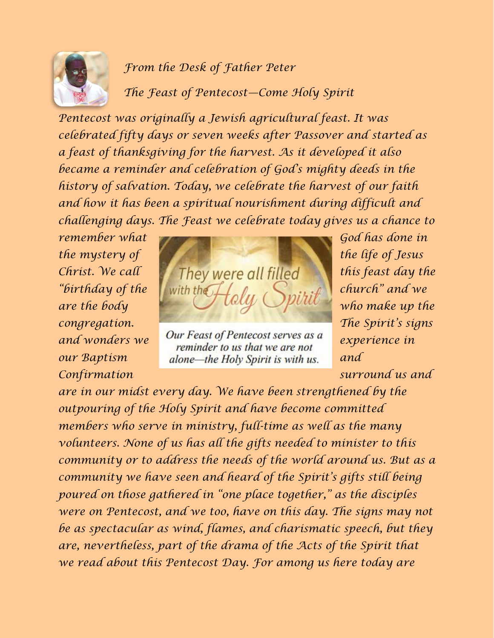

*From the Desk of Father Peter*

## *The Feast of Pentecost—Come Holy Spirit*

*Pentecost was originally a Jewish agricultural feast. It was celebrated fifty days or seven weeks after Passover and started as a feast of thanksgiving for the harvest. As it developed it also became a reminder and celebration of God's mighty deeds in the history of salvation. Today, we celebrate the harvest of our faith and how it has been a spiritual nourishment during difficult and challenging days. The Feast we celebrate today gives us a chance to* 



*and wonders we Our Feast of Pentecost serves as a experience in experience in our Baptism* **alone—the Holy Spirit is with us. and** 

*Confirmation surround us and* 

*are in our midst every day. We have been strengthened by the outpouring of the Holy Spirit and have become committed members who serve in ministry, full-time as well as the many volunteers. None of us has all the gifts needed to minister to this community or to address the needs of the world around us. But as a community we have seen and heard of the Spirit's gifts still being poured on those gathered in "one place together," as the disciples were on Pentecost, and we too, have on this day. The signs may not be as spectacular as wind, flames, and charismatic speech, but they are, nevertheless, part of the drama of the Acts of the Spirit that we read about this Pentecost Day. For among us here today are*